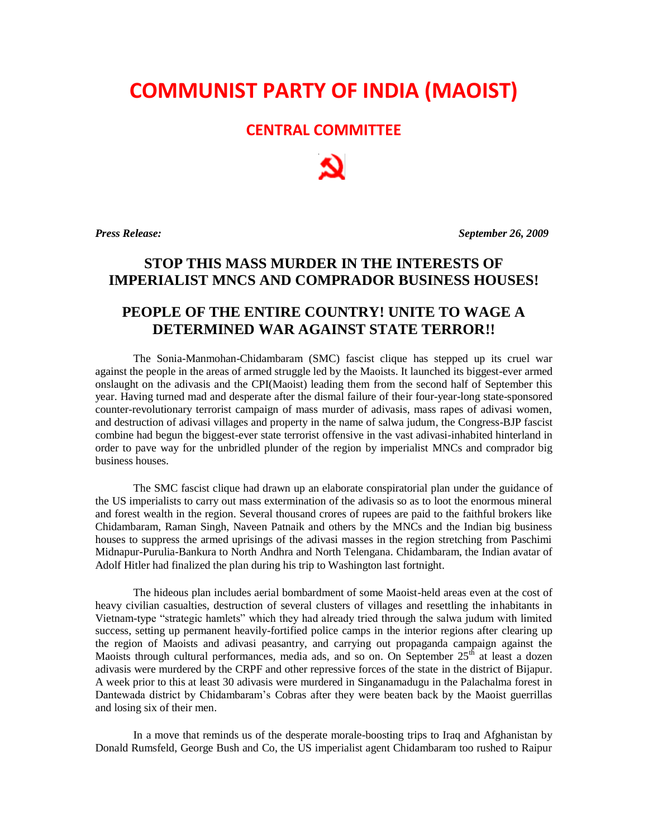## **COMMUNIST PARTY OF INDIA (MAOIST)**

## **CENTRAL COMMITTEE**

*Press Release: September 26, 2009*

## **STOP THIS MASS MURDER IN THE INTERESTS OF IMPERIALIST MNCS AND COMPRADOR BUSINESS HOUSES!**

## **PEOPLE OF THE ENTIRE COUNTRY! UNITE TO WAGE A DETERMINED WAR AGAINST STATE TERROR!!**

The Sonia-Manmohan-Chidambaram (SMC) fascist clique has stepped up its cruel war against the people in the areas of armed struggle led by the Maoists. It launched its biggest-ever armed onslaught on the adivasis and the CPI(Maoist) leading them from the second half of September this year. Having turned mad and desperate after the dismal failure of their four-year-long state-sponsored counter-revolutionary terrorist campaign of mass murder of adivasis, mass rapes of adivasi women, and destruction of adivasi villages and property in the name of salwa judum, the Congress-BJP fascist combine had begun the biggest-ever state terrorist offensive in the vast adivasi-inhabited hinterland in order to pave way for the unbridled plunder of the region by imperialist MNCs and comprador big business houses.

The SMC fascist clique had drawn up an elaborate conspiratorial plan under the guidance of the US imperialists to carry out mass extermination of the adivasis so as to loot the enormous mineral and forest wealth in the region. Several thousand crores of rupees are paid to the faithful brokers like Chidambaram, Raman Singh, Naveen Patnaik and others by the MNCs and the Indian big business houses to suppress the armed uprisings of the adivasi masses in the region stretching from Paschimi Midnapur-Purulia-Bankura to North Andhra and North Telengana. Chidambaram, the Indian avatar of Adolf Hitler had finalized the plan during his trip to Washington last fortnight.

The hideous plan includes aerial bombardment of some Maoist-held areas even at the cost of heavy civilian casualties, destruction of several clusters of villages and resettling the inhabitants in Vietnam-type "strategic hamlets" which they had already tried through the salwa judum with limited success, setting up permanent heavily-fortified police camps in the interior regions after clearing up the region of Maoists and adivasi peasantry, and carrying out propaganda campaign against the Maoists through cultural performances, media ads, and so on. On September  $25<sup>th</sup>$  at least a dozen adivasis were murdered by the CRPF and other repressive forces of the state in the district of Bijapur. A week prior to this at least 30 adivasis were murdered in Singanamadugu in the Palachalma forest in Dantewada district by Chidambaram's Cobras after they were beaten back by the Maoist guerrillas and losing six of their men.

In a move that reminds us of the desperate morale-boosting trips to Iraq and Afghanistan by Donald Rumsfeld, George Bush and Co, the US imperialist agent Chidambaram too rushed to Raipur